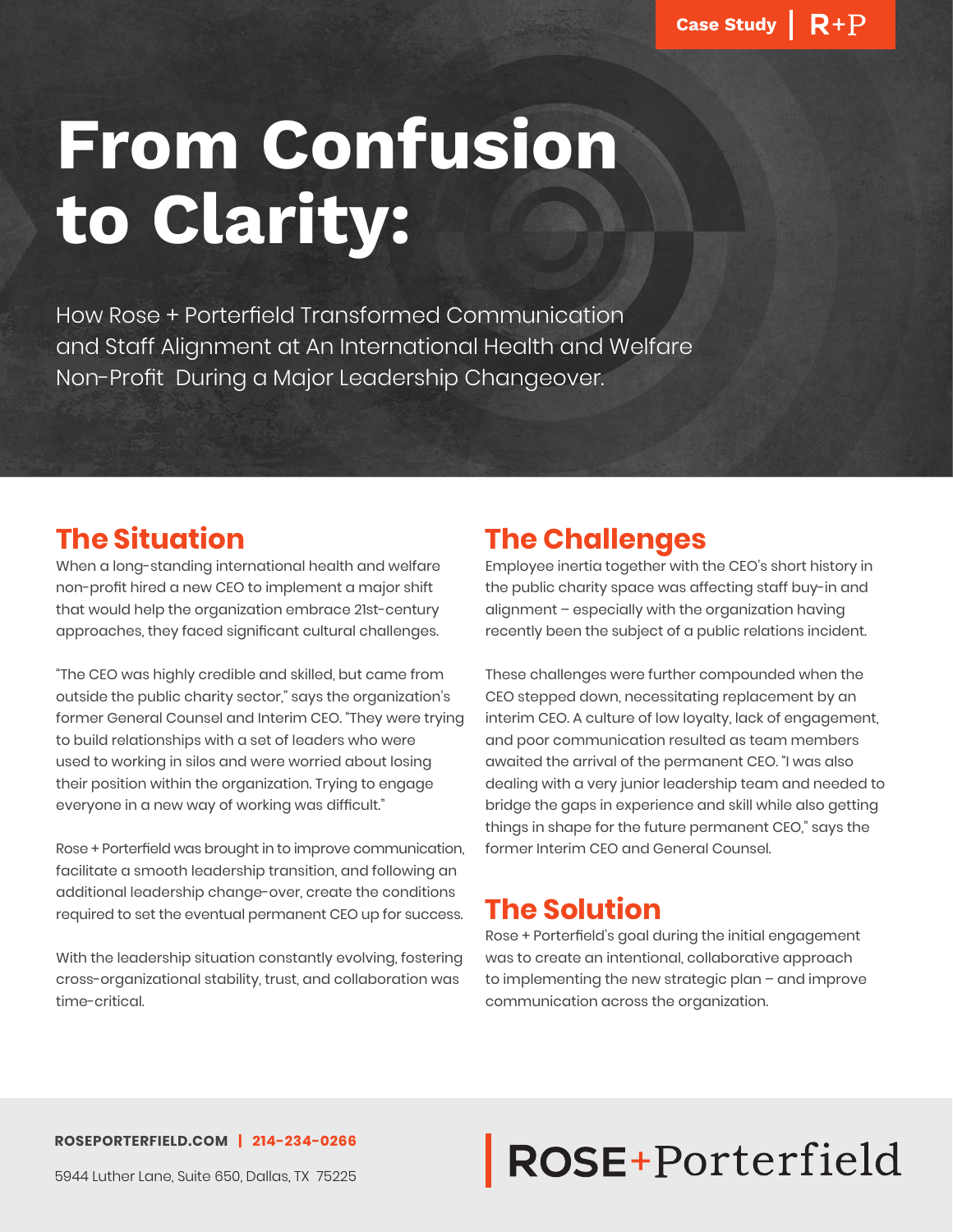# **From Confusion to Clarity:**

How Rose + Porterfield Transformed Communication and Staff Alignment at An International Health and Welfare Non-Profit During a Major Leadership Changeover.

## **The Situation**

When a long-standing international health and welfare non-profit hired a new CEO to implement a major shift that would help the organization embrace 21st-century approaches, they faced significant cultural challenges.

"The CEO was highly credible and skilled, but came from outside the public charity sector," says the organization's former General Counsel and Interim CEO. "They were trying to build relationships with a set of leaders who were used to working in silos and were worried about losing their position within the organization. Trying to engage everyone in a new way of working was difficult."

Rose + Porterfield was brought in to improve communication, facilitate a smooth leadership transition, and following an additional leadership change-over, create the conditions required to set the eventual permanent CEO up for success.

With the leadership situation constantly evolving, fostering cross-organizational stability, trust, and collaboration was time-critical.

### **The Challenges**

Employee inertia together with the CEO's short history in the public charity space was affecting staff buy-in and alignment – especially with the organization having recently been the subject of a public relations incident.

These challenges were further compounded when the CEO stepped down, necessitating replacement by an interim CEO. A culture of low loyalty, lack of engagement, and poor communication resulted as team members awaited the arrival of the permanent CEO. "I was also dealing with a very junior leadership team and needed to bridge the gaps in experience and skill while also getting things in shape for the future permanent CEO," says the former Interim CEO and General Counsel.

## **The Solution**

Rose + Porterfield's goal during the initial engagement was to create an intentional, collaborative approach to implementing the new strategic plan – and improve communication across the organization.

#### **ROSEPORTERFIELD.COM | 214-234-0266**

## ROSE+Porterfield

5944 Luther Lane, Suite 650, Dallas, TX 75225